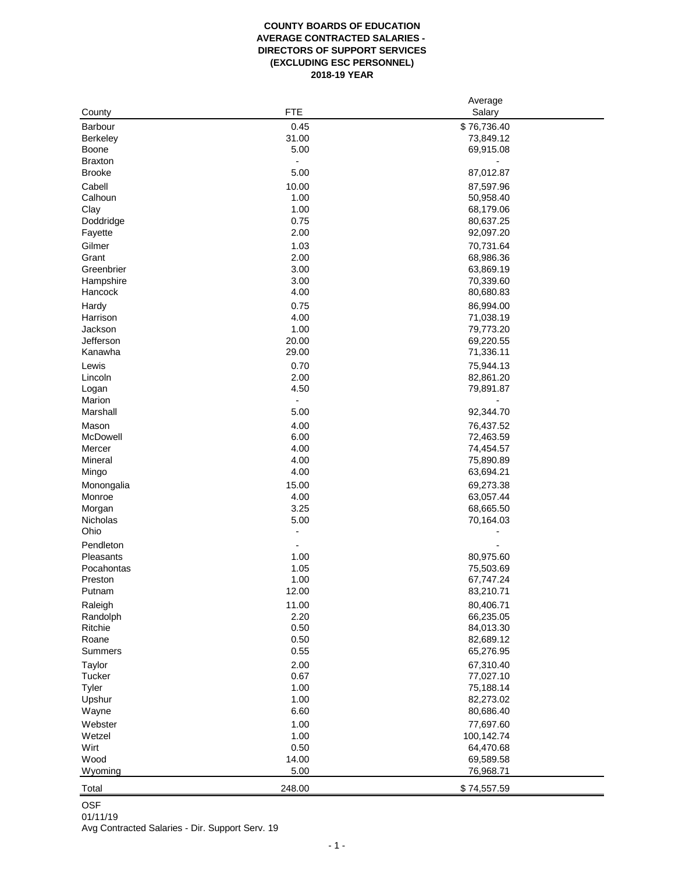## **COUNTY BOARDS OF EDUCATION AVERAGE CONTRACTED SALARIES - DIRECTORS OF SUPPORT SERVICES (EXCLUDING ESC PERSONNEL) 2018-19 YEAR**

|                |            | Average     |
|----------------|------------|-------------|
| County         | <b>FTE</b> | Salary      |
| <b>Barbour</b> | 0.45       | \$76,736.40 |
| Berkeley       | 31.00      | 73,849.12   |
| Boone          | 5.00       | 69,915.08   |
| <b>Braxton</b> |            |             |
| <b>Brooke</b>  | 5.00       | 87,012.87   |
| Cabell         | 10.00      | 87,597.96   |
| Calhoun        | 1.00       | 50,958.40   |
| Clay           | 1.00       | 68,179.06   |
| Doddridge      | 0.75       | 80,637.25   |
| Fayette        | 2.00       | 92,097.20   |
| Gilmer         | 1.03       | 70,731.64   |
| Grant          | 2.00       | 68,986.36   |
| Greenbrier     | 3.00       | 63,869.19   |
| Hampshire      | 3.00       | 70,339.60   |
| Hancock        | 4.00       | 80,680.83   |
| Hardy          | 0.75       | 86,994.00   |
| Harrison       | 4.00       | 71,038.19   |
| Jackson        | 1.00       | 79,773.20   |
| Jefferson      | 20.00      | 69,220.55   |
| Kanawha        | 29.00      | 71,336.11   |
| Lewis          | 0.70       | 75,944.13   |
| Lincoln        | 2.00       | 82,861.20   |
| Logan          | 4.50       | 79,891.87   |
| Marion         |            |             |
| Marshall       | 5.00       | 92,344.70   |
| Mason          | 4.00       | 76,437.52   |
| McDowell       | 6.00       | 72,463.59   |
| Mercer         | 4.00       | 74,454.57   |
| Mineral        | 4.00       | 75,890.89   |
| Mingo          | 4.00       | 63,694.21   |
| Monongalia     | 15.00      | 69,273.38   |
| Monroe         | 4.00       | 63,057.44   |
| Morgan         | 3.25       | 68,665.50   |
| Nicholas       | 5.00       | 70,164.03   |
| Ohio           |            |             |
| Pendleton      |            |             |
| Pleasants      | 1.00       | 80,975.60   |
| Pocahontas     | 1.05       | 75,503.69   |
| Preston        | 1.00       | 67,747.24   |
| Putnam         | 12.00      | 83,210.71   |
| Raleigh        | 11.00      | 80,406.71   |
| Randolph       | 2.20       | 66,235.05   |
| Ritchie        | 0.50       | 84,013.30   |
| Roane          | 0.50       | 82,689.12   |
| Summers        | 0.55       | 65,276.95   |
| Taylor         | 2.00       | 67,310.40   |
| Tucker         | 0.67       | 77,027.10   |
| Tyler          | 1.00       | 75,188.14   |
| Upshur         | 1.00       | 82,273.02   |
| Wayne          | 6.60       | 80,686.40   |
| Webster        | 1.00       | 77,697.60   |
| Wetzel         | 1.00       | 100,142.74  |
| Wirt           | 0.50       | 64,470.68   |
| Wood           | 14.00      | 69,589.58   |
| Wyoming        | 5.00       | 76,968.71   |
|                |            |             |
| Total          | 248.00     | \$74,557.59 |

## OSF 01/11/19

Avg Contracted Salaries - Dir. Support Serv. 19